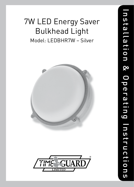## 7W LED Energy Saver Bulkhead Light Model: LEDBHR7W – Silver



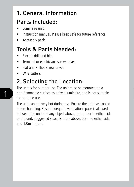### 1. General Information Parts Included:

- Luminaire unit.
- Instruction manual. Please keep safe for future reference.
- Accessory pack.

#### Tools & Parts Needed:

- Electric drill and bits.
- Terminal or electricians screw driver.
- Flat and Philips screw driver.
- Wire cutters.

#### 2. Selecting the Location:

The unit is for outdoor use. The unit must be mounted on a non-flammable surface as a fixed luminaire, and is not suitable for portable use.

The unit can get very hot during use. Ensure the unit has cooled before handling. Ensure adequate ventilation space is allowed between the unit and any object above, in front, or to either side of the unit. Suggested space is 0.5m above, 0.3m to either side, and 1.0m in front.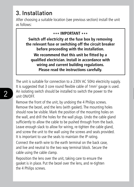#### 3. Installation

After choosing a suitable location (see previous section) install the unit as follows:

#### **\*\*\* IMPORTANT \*\*\***

**Switch off electricity at the fuse box by removing the relevant fuse or switching off the circuit breaker before proceeding with the installation. We recommend that this unit be fitted by a qualified electrician. Install in accordance with wiring and current building regulations. Please read the instructions carefully.**

The unit is suitable for connection to a 230V AC 50Hz electricity supply. It is suggested that 3 core round flexible cable of  $1mm<sup>2</sup>$  gauge is used. An isolating switch should be installed to switch the power to the unit ON/OFF.

Remove the front of the unit, by undoing the 4 Philips screws. Remove the bezel, and the lens (with gasket). The mounting holes should now be visible. Mark the position of the mounting holes on the wall, and drill the holes for the wall plugs. Undo the cable gland sufficiently to allow the cable to be pushed through from the back. Leave enough slack to allow for wiring, re-tighten the cable gland, and screw the unit to the wall using the screws and seals provided. It is important to use the seals to maintain the IP rating.

Connect the earth wire to the earth terminal on the back case, and live and neutral to the two way terminal block. Secure the cable using the cable clamp.

Reposition the lens over the unit, taking care to ensure the gasket is in place. Put the bezel over the lens, and re-tighten the 4 Philips screws.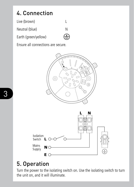### 4. Connection

Live (brown) L

Neutral (blue) N

Earth (green/yellow)

Ensure all connections are secure.





#### 5. Operation

Turn the power to the isolating switch on. Use the isolating switch to turn the unit on, and it will illuminate.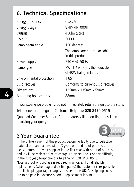#### 6. Technical Specifications

| Energy efficiency        | Class A                                                |
|--------------------------|--------------------------------------------------------|
| Energy usage             | 8.4KwH/1000H                                           |
| Output                   | 450m typical                                           |
| Colour                   | 5000K                                                  |
| Lamp beam angle          | 120 degrees                                            |
|                          | The lamps are not replaceable<br>in this product       |
| Power supply             | 230 V AC 50 Hz                                         |
| Lamp type                | 7W LED which is the equivalent<br>of 40W halogen lamp. |
| Environmental protection | IP65                                                   |
| FC directives            | Conforms to current EC directives                      |
| <b>Dimensions</b>        | 135mm x 135mm x 59mm                                   |
| Mounting hole centres    | 88mm                                                   |

If you experience problems, do not immediately return the unit to the store.

Telephone the Timeguard Customer **Helpline 020 8450 0515**

Qualified Customer Support Co-ordinators will be on-line to assist in resolving your query.

#### 3 Year Guarantee

In the unlikely event of this product becoming faulty due to defective material or manufacture, within 3 years of the date of purchase, please return it to your supplier in the first year with proof of purchase and it will be replaced free of charge. For years 2 to 3 or any difficulty in the first year, telephone our helpline on 020 8450 0515. Note: a proof of purchase is required in all cases. For all eligible replacements (where agreed by Timeguard) the customer is responsible for all shipping/postage charges outside of the UK. All shipping costs are to be paid in advance before a replacement is sent.